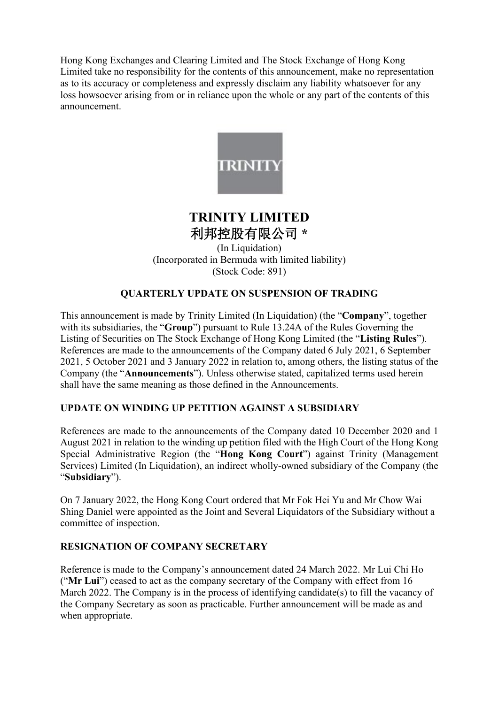Hong Kong Exchanges and Clearing Limited and The Stock Exchange of Hong Kong Limited take no responsibility for the contents of this announcement, make no representation as to its accuracy or completeness and expressly disclaim any liability whatsoever for any loss howsoever arising from or in reliance upon the whole or any part of the contents of this announcement.



# **TRINITY LIMITED** 利邦控股有限公司 **\***

(In Liquidation) (Incorporated in Bermuda with limited liability) (Stock Code: 891)

# **QUARTERLY UPDATE ON SUSPENSION OF TRADING**

This announcement is made by Trinity Limited (In Liquidation) (the "**Company**", together with its subsidiaries, the "**Group**") pursuant to Rule 13.24A of the Rules Governing the Listing of Securities on The Stock Exchange of Hong Kong Limited (the "**Listing Rules**"). References are made to the announcements of the Company dated 6 July 2021, 6 September 2021, 5 October 2021 and 3 January 2022 in relation to, among others, the listing status of the Company (the "**Announcements**"). Unless otherwise stated, capitalized terms used herein shall have the same meaning as those defined in the Announcements.

# **UPDATE ON WINDING UP PETITION AGAINST A SUBSIDIARY**

References are made to the announcements of the Company dated 10 December 2020 and 1 August 2021 in relation to the winding up petition filed with the High Court of the Hong Kong Special Administrative Region (the "**Hong Kong Court**") against Trinity (Management Services) Limited (In Liquidation), an indirect wholly-owned subsidiary of the Company (the "**Subsidiary**").

On 7 January 2022, the Hong Kong Court ordered that Mr Fok Hei Yu and Mr Chow Wai Shing Daniel were appointed as the Joint and Several Liquidators of the Subsidiary without a committee of inspection.

### **RESIGNATION OF COMPANY SECRETARY**

Reference is made to the Company's announcement dated 24 March 2022. Mr Lui Chi Ho ("**Mr Lui**") ceased to act as the company secretary of the Company with effect from 16 March 2022. The Company is in the process of identifying candidate(s) to fill the vacancy of the Company Secretary as soon as practicable. Further announcement will be made as and when appropriate.